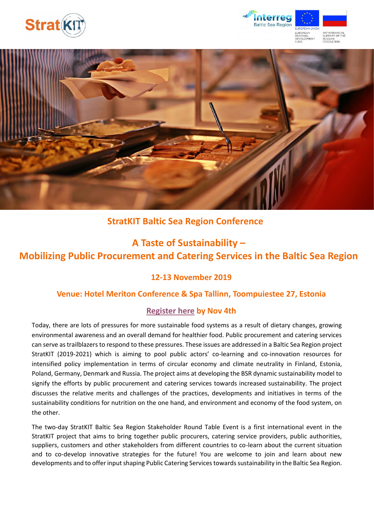





## **StratKIT Baltic Sea Region Conference**

# **A Taste of Sustainability – Mobilizing Public Procurement and Catering Services in the Baltic Sea Region**

## **12-13 November 2019**

### **Venue: Hotel Meriton Conference & Spa Tallinn, Toompuiestee 27, Estonia**

### **[Register here](https://docs.google.com/forms/d/e/1FAIpQLSfH1vt28daJ80G0ucjWKxKb0lI0MQFCh7HLgCxeXovzgfoxJQ/viewform?vc=0&c=0&w=1) by Nov 4th**

Today, there are lots of pressures for more sustainable food systems as a result of dietary changes, growing environmental awareness and an overall demand for healthier food. Public procurement and catering services can serve as trailblazers to respond to these pressures. These issues are addressed in a Baltic Sea Region project StratKIT (2019-2021) which is aiming to pool public actors' co-learning and co-innovation resources for intensified policy implementation in terms of circular economy and climate neutrality in Finland, Estonia, Poland, Germany, Denmark and Russia. The project aims at developing the BSR dynamic sustainability model to signify the efforts by public procurement and catering services towards increased sustainability. The project discusses the relative merits and challenges of the practices, developments and initiatives in terms of the sustainability conditions for nutrition on the one hand, and environment and economy of the food system, on the other.

The two-day StratKIT Baltic Sea Region Stakeholder Round Table Event is a first international event in the StratKIT project that aims to bring together public procurers, catering service providers, public authorities, suppliers, customers and other stakeholders from different countries to co-learn about the current situation and to co-develop innovative strategies for the future! You are welcome to join and learn about new developments and to offer input shaping Public Catering Services towards sustainability in the Baltic Sea Region.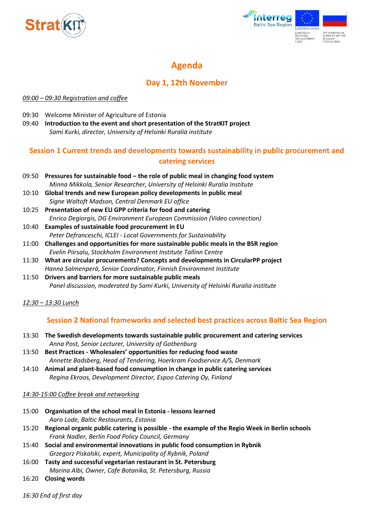



## **Agenda**

## **Day 1, 12th November**

#### *09:00 – 09:30 Registration and coffee*

- 09:30 Welcome Minister of Agriculture of Estonia
- 09:40 **Introduction to the event and short presentation of the StratKIT project** *Sami Kurki, director, University of Helsinki Ruralia institute*

## **Session 1 Current trends and developments towards sustainability in public procurement and catering services**

- 09:50 **Pressures for sustainable food – the role of public meal in changing food system** *Minna Mikkola, Senior Researcher, University of Helsinki Ruralia Institute*
- 10:10 **Global trends and new European policy developments in public meal** *Signe Waltoft Madson, Central Denmark EU office*
- 10:25 **Presentation of new EU GPP criteria for food and catering** *Enrico Degiorgis, DG Environment European Commission (Video connection)*
- 10:40 **Examples of sustainable food procurement in EU** *Peter Defranceschi, ICLEI - Local Governments for Sustainability*
- 11:00 **Challenges and opportunities for more sustainable public meals in the BSR region** *Evelin Piirsalu, Stockholm Environment Institute Tallinn Centre*
- 11:30 **What are circular procurements? Concepts and developments in CircularPP project** *Hanna Salmenperä, Senior Coordinator, Finnish Environment Institute*
- 11:50 **Drivers and barriers for more sustainable public meals** *Panel discussion, moderated by Sami Kurki, University of Helsinki Ruralia institute*

#### *12:30 – 13:30 Lunch*

### **Session 2 National frameworks and selected best practices across Baltic Sea Region**

- 13:30 **The Swedish developments towards sustainable public procurement and catering services** *Anna Post, Senior Lecturer, University of Gothenburg*
- 13:50 **Best Practices - Wholesalers' opportunities for reducing food waste** *Annette Badsberg, Head of Tendering, Hoerkram Foodservice A/S, Denmark*
- 14:10 **Animal and plant-based food consumption in change in public catering services** *Regina Ekroos, Development Director, Espoo Catering Oy, Finland*

#### *14:30-15:00 Coffee break and networking*

- 15:00 **Organisation of the school meal in Estonia - lessons learned** *Aaro Lode, Baltic Restaurants, Estonia*
- 15:20 **Regional organic public catering is possible - the example of the Regio Week in Berlin schools** *Frank Nadler, Berlin Food Policy Council, Germany*
- 15:40 **Social and environmental innovations in public food consumption in Rybnik** *Grzegorz Piskalski, expert, Municipality of Rybnik, Poland*
- 16:00 **Tasty and successful vegetarian restaurant in St. Petersburg** *Marina Albi, Owner, Cafe Botanika, St. Petersburg, Russia*
- 16:20 **Closing words**